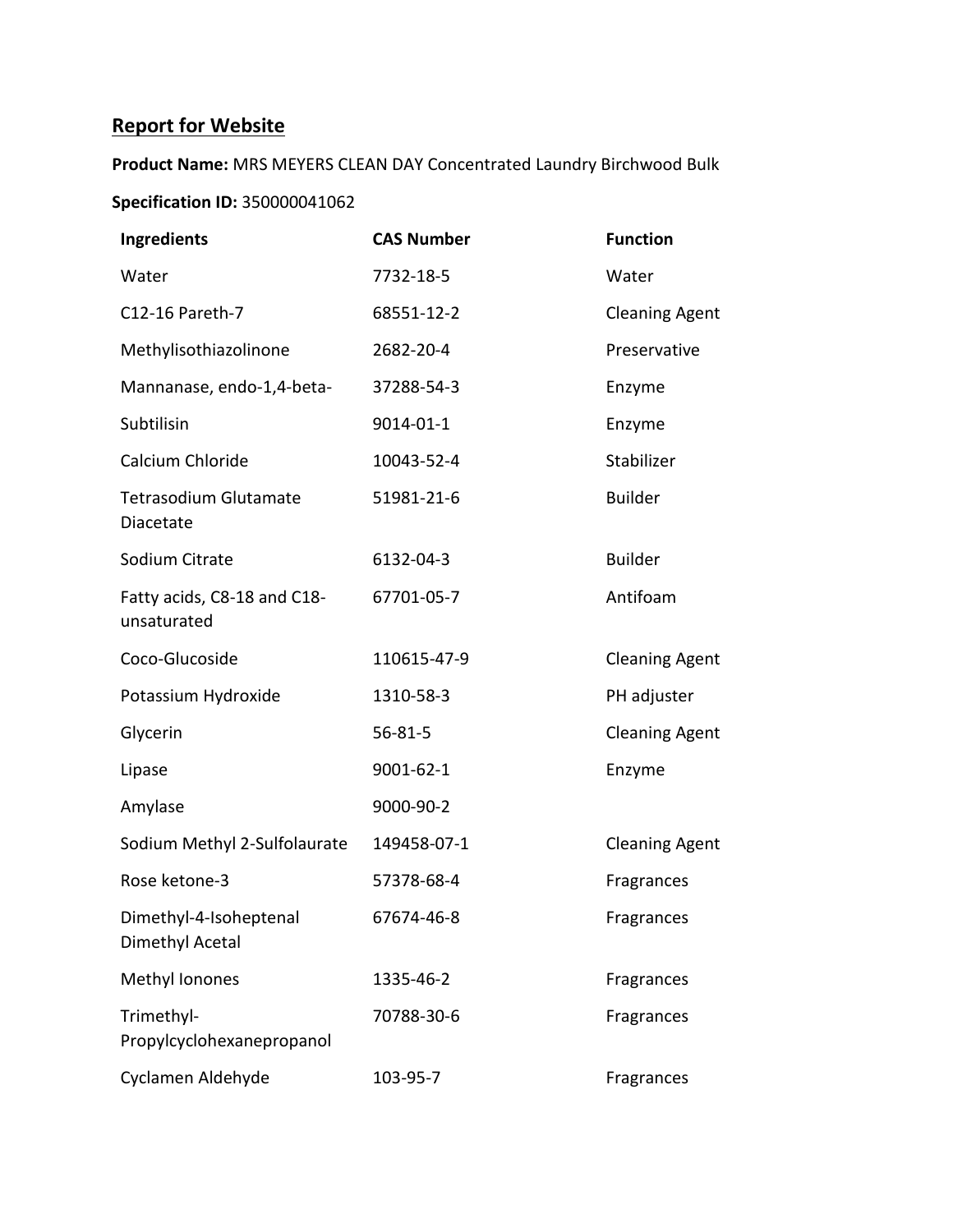# **Report for Website**

**Product Name:** MRS MEYERS CLEAN DAY Concentrated Laundry Birchwood Bulk **Specification ID:** 350000041062

| <b>Ingredients</b>                         | <b>CAS Number</b> | <b>Function</b>       |
|--------------------------------------------|-------------------|-----------------------|
| Water                                      | 7732-18-5         | Water                 |
| C12-16 Pareth-7                            | 68551-12-2        | <b>Cleaning Agent</b> |
| Methylisothiazolinone                      | 2682-20-4         | Preservative          |
| Mannanase, endo-1,4-beta-                  | 37288-54-3        | Enzyme                |
| Subtilisin                                 | 9014-01-1         | Enzyme                |
| Calcium Chloride                           | 10043-52-4        | Stabilizer            |
| <b>Tetrasodium Glutamate</b><br>Diacetate  | 51981-21-6        | <b>Builder</b>        |
| Sodium Citrate                             | 6132-04-3         | <b>Builder</b>        |
| Fatty acids, C8-18 and C18-<br>unsaturated | 67701-05-7        | Antifoam              |
| Coco-Glucoside                             | 110615-47-9       | <b>Cleaning Agent</b> |
| Potassium Hydroxide                        | 1310-58-3         | PH adjuster           |
| Glycerin                                   | $56 - 81 - 5$     | <b>Cleaning Agent</b> |
| Lipase                                     | 9001-62-1         | Enzyme                |
| Amylase                                    | 9000-90-2         |                       |
| Sodium Methyl 2-Sulfolaurate               | 149458-07-1       | <b>Cleaning Agent</b> |
| Rose ketone-3                              | 57378-68-4        | Fragrances            |
| Dimethyl-4-Isoheptenal<br>Dimethyl Acetal  | 67674-46-8        | Fragrances            |
| Methyl Ionones                             | 1335-46-2         | Fragrances            |
| Trimethyl-<br>Propylcyclohexanepropanol    | 70788-30-6        | Fragrances            |
| Cyclamen Aldehyde                          | 103-95-7          | Fragrances            |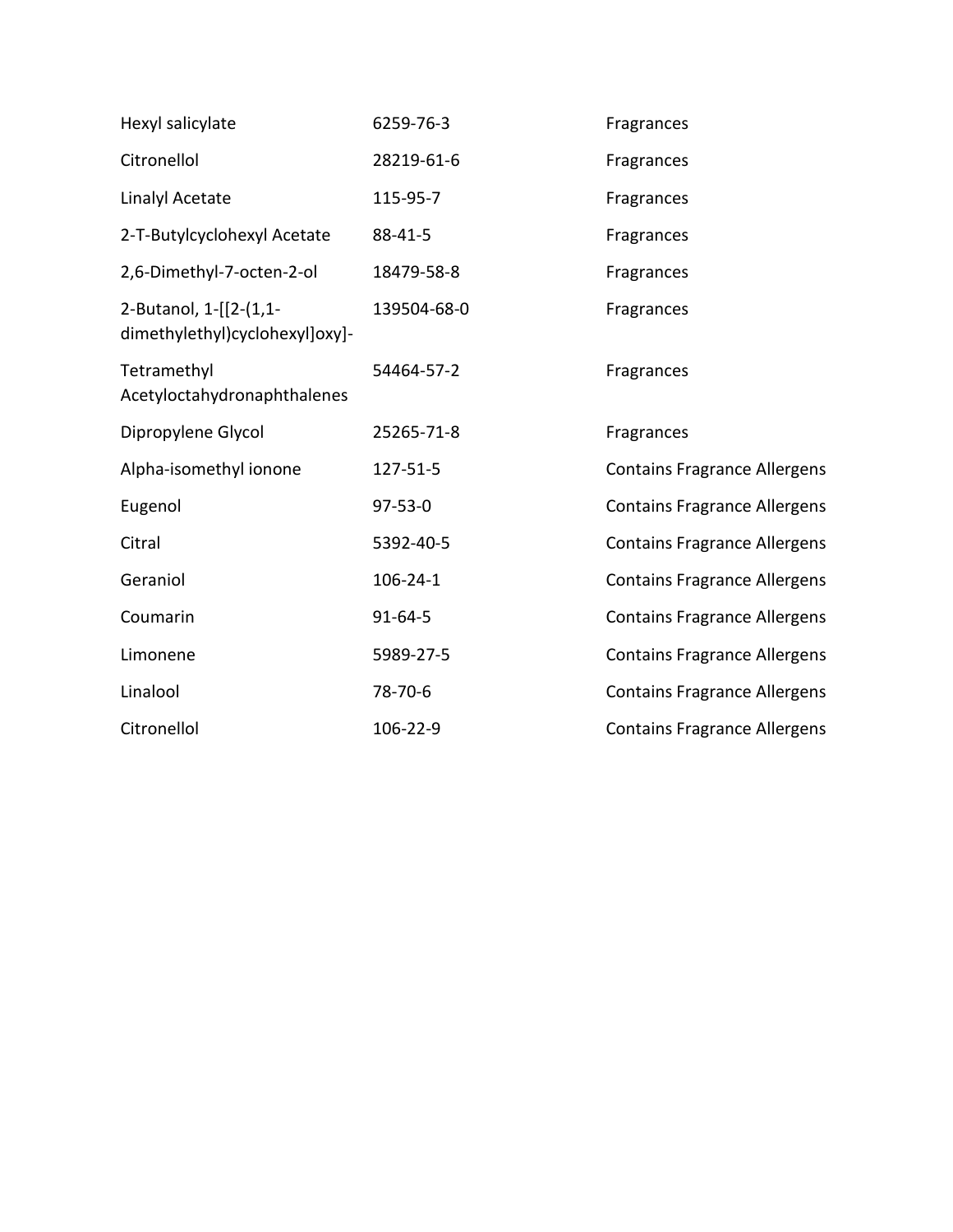| Hexyl salicylate                                         | 6259-76-3     | Fragrances                          |
|----------------------------------------------------------|---------------|-------------------------------------|
| Citronellol                                              | 28219-61-6    | Fragrances                          |
| Linalyl Acetate                                          | 115-95-7      | Fragrances                          |
| 2-T-Butylcyclohexyl Acetate                              | 88-41-5       | Fragrances                          |
| 2,6-Dimethyl-7-octen-2-ol                                | 18479-58-8    | Fragrances                          |
| 2-Butanol, 1-[[2-(1,1-<br>dimethylethyl)cyclohexyl]oxy]- | 139504-68-0   | Fragrances                          |
| Tetramethyl<br>Acetyloctahydronaphthalenes               | 54464-57-2    | Fragrances                          |
| Dipropylene Glycol                                       | 25265-71-8    | Fragrances                          |
| Alpha-isomethyl ionone                                   | 127-51-5      | <b>Contains Fragrance Allergens</b> |
| Eugenol                                                  | $97 - 53 - 0$ | <b>Contains Fragrance Allergens</b> |
| Citral                                                   | 5392-40-5     | <b>Contains Fragrance Allergens</b> |
| Geraniol                                                 | 106-24-1      | <b>Contains Fragrance Allergens</b> |
| Coumarin                                                 | $91 - 64 - 5$ | <b>Contains Fragrance Allergens</b> |
| Limonene                                                 | 5989-27-5     | <b>Contains Fragrance Allergens</b> |
| Linalool                                                 | 78-70-6       | <b>Contains Fragrance Allergens</b> |
| Citronellol                                              | 106-22-9      | <b>Contains Fragrance Allergens</b> |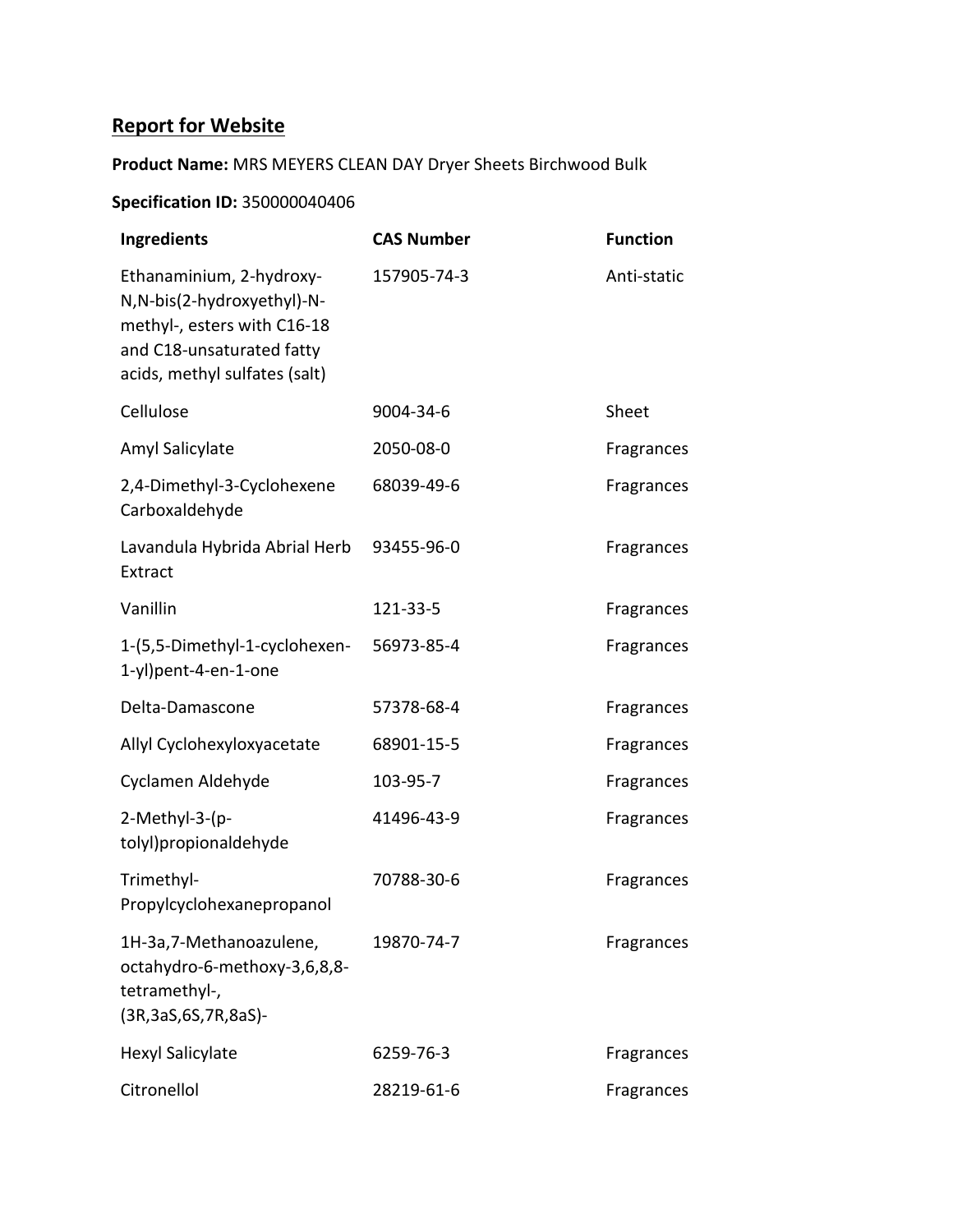## **Report for Website**

#### **Product Name:** MRS MEYERS CLEAN DAY Dryer Sheets Birchwood Bulk

#### **Specification ID:** 350000040406

| Ingredients                                                                                                                                          | <b>CAS Number</b> | <b>Function</b> |
|------------------------------------------------------------------------------------------------------------------------------------------------------|-------------------|-----------------|
| Ethanaminium, 2-hydroxy-<br>N, N-bis(2-hydroxyethyl)-N-<br>methyl-, esters with C16-18<br>and C18-unsaturated fatty<br>acids, methyl sulfates (salt) | 157905-74-3       | Anti-static     |
| Cellulose                                                                                                                                            | 9004-34-6         | Sheet           |
| Amyl Salicylate                                                                                                                                      | 2050-08-0         | Fragrances      |
| 2,4-Dimethyl-3-Cyclohexene<br>Carboxaldehyde                                                                                                         | 68039-49-6        | Fragrances      |
| Lavandula Hybrida Abrial Herb<br>Extract                                                                                                             | 93455-96-0        | Fragrances      |
| Vanillin                                                                                                                                             | 121-33-5          | Fragrances      |
| 1-(5,5-Dimethyl-1-cyclohexen-<br>1-yl)pent-4-en-1-one                                                                                                | 56973-85-4        | Fragrances      |
| Delta-Damascone                                                                                                                                      | 57378-68-4        | Fragrances      |
| Allyl Cyclohexyloxyacetate                                                                                                                           | 68901-15-5        | Fragrances      |
| Cyclamen Aldehyde                                                                                                                                    | 103-95-7          | Fragrances      |
| 2-Methyl-3-(p-<br>tolyl)propionaldehyde                                                                                                              | 41496-43-9        | Fragrances      |
| Trimethyl-<br>Propylcyclohexanepropanol                                                                                                              | 70788-30-6        | Fragrances      |
| 1H-3a, 7-Methanoazulene,<br>octahydro-6-methoxy-3,6,8,8-<br>tetramethyl-,<br>(3R, 3aS, 6S, 7R, 8aS)-                                                 | 19870-74-7        | Fragrances      |
| <b>Hexyl Salicylate</b>                                                                                                                              | 6259-76-3         | Fragrances      |
| Citronellol                                                                                                                                          | 28219-61-6        | Fragrances      |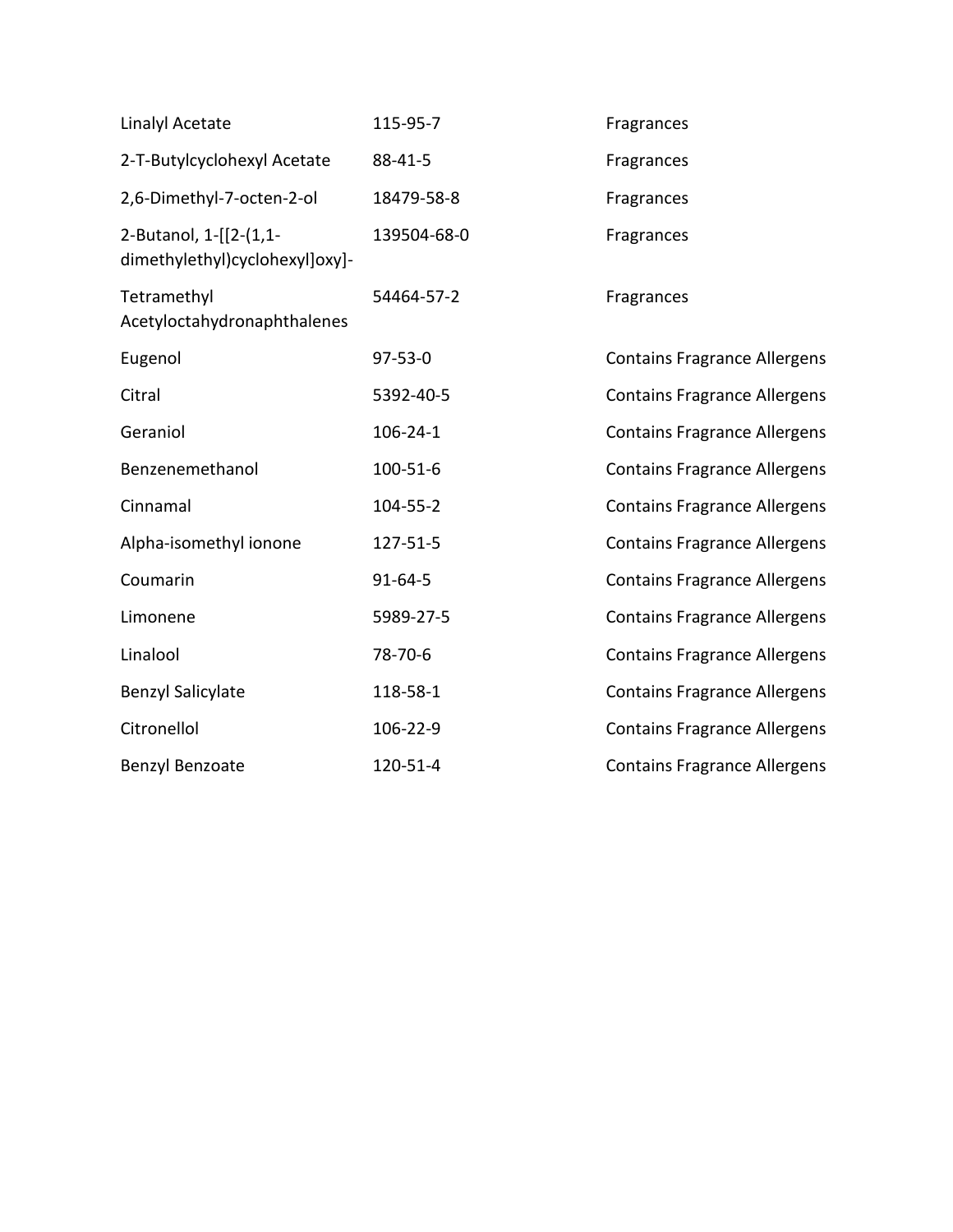| <b>Linalyl Acetate</b>                                   | 115-95-7      | Fragrances                          |
|----------------------------------------------------------|---------------|-------------------------------------|
| 2-T-Butylcyclohexyl Acetate                              | 88-41-5       | Fragrances                          |
| 2,6-Dimethyl-7-octen-2-ol                                | 18479-58-8    | Fragrances                          |
| 2-Butanol, 1-[[2-(1,1-<br>dimethylethyl)cyclohexyl]oxy]- | 139504-68-0   | Fragrances                          |
| Tetramethyl<br>Acetyloctahydronaphthalenes               | 54464-57-2    | Fragrances                          |
| Eugenol                                                  | $97 - 53 - 0$ | <b>Contains Fragrance Allergens</b> |
| Citral                                                   | 5392-40-5     | <b>Contains Fragrance Allergens</b> |
| Geraniol                                                 | 106-24-1      | <b>Contains Fragrance Allergens</b> |
| Benzenemethanol                                          | 100-51-6      | <b>Contains Fragrance Allergens</b> |
| Cinnamal                                                 | 104-55-2      | <b>Contains Fragrance Allergens</b> |
| Alpha-isomethyl ionone                                   | 127-51-5      | <b>Contains Fragrance Allergens</b> |
| Coumarin                                                 | $91 - 64 - 5$ | <b>Contains Fragrance Allergens</b> |
| Limonene                                                 | 5989-27-5     | <b>Contains Fragrance Allergens</b> |
| Linalool                                                 | 78-70-6       | <b>Contains Fragrance Allergens</b> |
| <b>Benzyl Salicylate</b>                                 | 118-58-1      | <b>Contains Fragrance Allergens</b> |
| Citronellol                                              | 106-22-9      | <b>Contains Fragrance Allergens</b> |
| Benzyl Benzoate                                          | 120-51-4      | <b>Contains Fragrance Allergens</b> |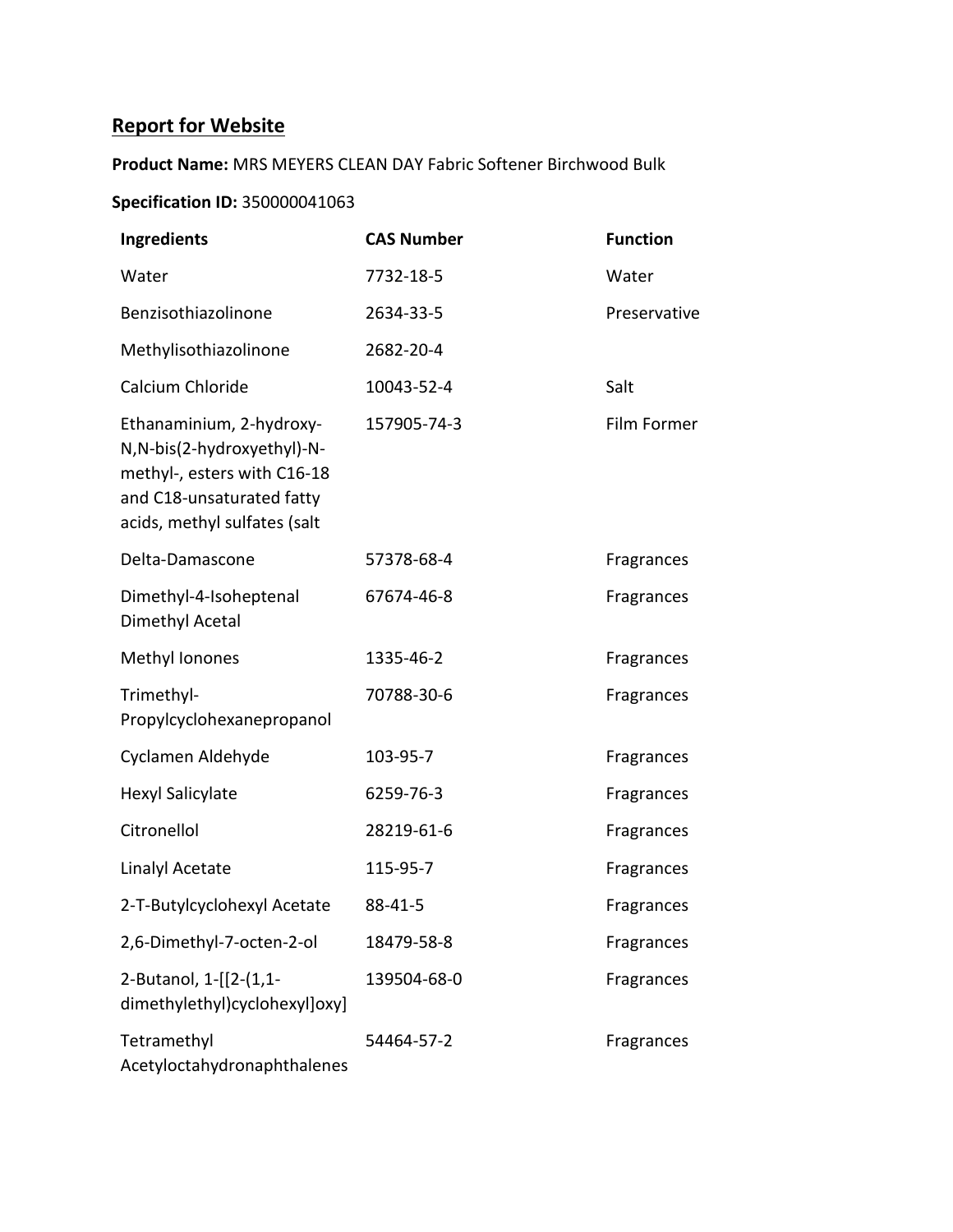# **Report for Website**

**Product Name:** MRS MEYERS CLEAN DAY Fabric Softener Birchwood Bulk

#### **Specification ID:** 350000041063

| Ingredients                                                                                                                                         | <b>CAS Number</b> | <b>Function</b> |
|-----------------------------------------------------------------------------------------------------------------------------------------------------|-------------------|-----------------|
| Water                                                                                                                                               | 7732-18-5         | Water           |
| Benzisothiazolinone                                                                                                                                 | 2634-33-5         | Preservative    |
| Methylisothiazolinone                                                                                                                               | 2682-20-4         |                 |
| Calcium Chloride                                                                                                                                    | 10043-52-4        | Salt            |
| Ethanaminium, 2-hydroxy-<br>N, N-bis(2-hydroxyethyl)-N-<br>methyl-, esters with C16-18<br>and C18-unsaturated fatty<br>acids, methyl sulfates (salt | 157905-74-3       | Film Former     |
| Delta-Damascone                                                                                                                                     | 57378-68-4        | Fragrances      |
| Dimethyl-4-Isoheptenal<br>Dimethyl Acetal                                                                                                           | 67674-46-8        | Fragrances      |
| Methyl Ionones                                                                                                                                      | 1335-46-2         | Fragrances      |
| Trimethyl-<br>Propylcyclohexanepropanol                                                                                                             | 70788-30-6        | Fragrances      |
| Cyclamen Aldehyde                                                                                                                                   | 103-95-7          | Fragrances      |
| <b>Hexyl Salicylate</b>                                                                                                                             | 6259-76-3         | Fragrances      |
| Citronellol                                                                                                                                         | 28219-61-6        | Fragrances      |
| Linalyl Acetate                                                                                                                                     | 115-95-7          | Fragrances      |
| 2-T-Butylcyclohexyl Acetate                                                                                                                         | 88-41-5           | Fragrances      |
| 2,6-Dimethyl-7-octen-2-ol                                                                                                                           | 18479-58-8        | Fragrances      |
| 2-Butanol, 1-[[2-(1,1-<br>dimethylethyl)cyclohexyl]oxy]                                                                                             | 139504-68-0       | Fragrances      |
| Tetramethyl<br>Acetyloctahydronaphthalenes                                                                                                          | 54464-57-2        | Fragrances      |